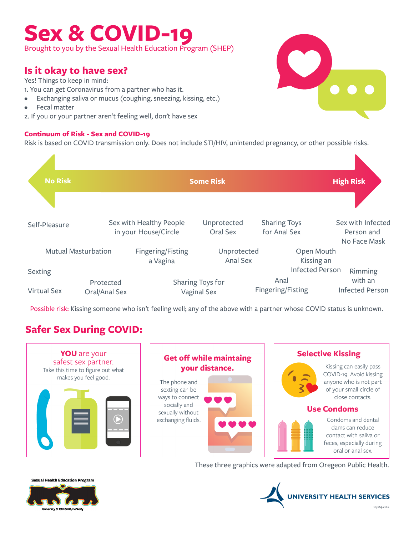# **Sex & COVID-19**

Brought to you by the Sexual Health Education Program (SHEP)

# **Is it okay to have sex?**

Yes! Things to keep in mind:

- 1. You can get Coronavirus from a partner who has it.
- Exchanging saliva or mucus (coughing, sneezing, kissing, etc.)
- **Fecal matter**
- 2. If you or your partner aren't feeling well, don't have sex

# **Continuum of Risk - Sex and COVID-19**

Risk is based on COVID transmission only. Does not include STI/HIV, unintended pregnancy, or other possible risks.



Possible risk: Kissing someone who isn't feeling well; any of the above with a partner whose COVID status is unknown.

# **Safer Sex During COVID:**



### **Get off while maintaing** your distance. The phone and sexting can be ways to connect



# **Selective Kissing**



Kissing can easily pass COVID-19. Avoid kissing anyone who is not part of your small circle of close contacts.

## **Use Condoms**



Condoms and dental dams can reduce contact with saliva or feces, especially during oral or anal sex.

These three graphics were adapted from Oregeon Public Health.